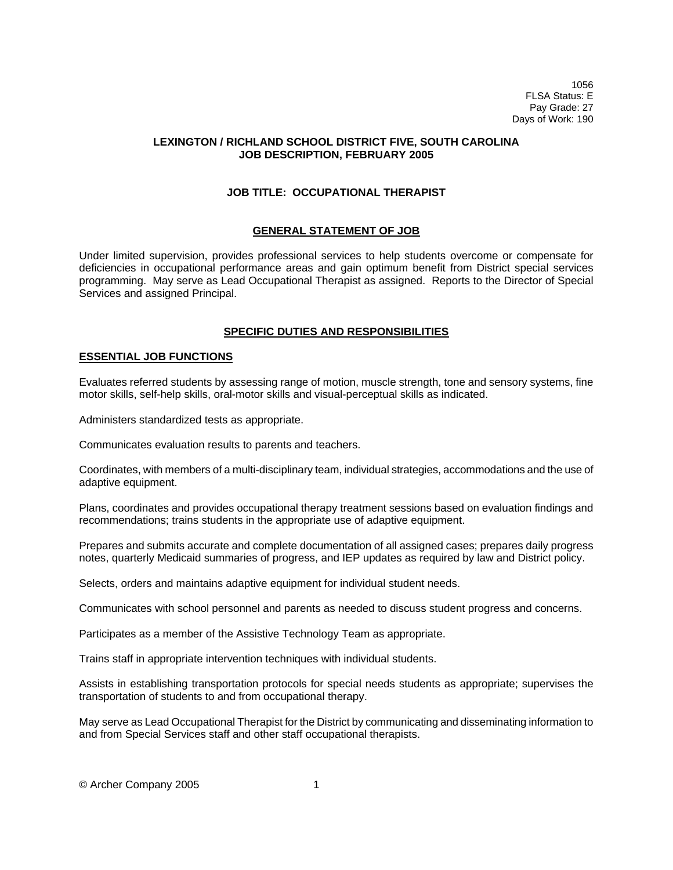1056 FLSA Status: E Pay Grade: 27 Days of Work: 190

### **LEXINGTON / RICHLAND SCHOOL DISTRICT FIVE, SOUTH CAROLINA JOB DESCRIPTION, FEBRUARY 2005**

## **JOB TITLE: OCCUPATIONAL THERAPIST**

## **GENERAL STATEMENT OF JOB**

Under limited supervision, provides professional services to help students overcome or compensate for deficiencies in occupational performance areas and gain optimum benefit from District special services programming. May serve as Lead Occupational Therapist as assigned. Reports to the Director of Special Services and assigned Principal.

# **SPECIFIC DUTIES AND RESPONSIBILITIES**

## **ESSENTIAL JOB FUNCTIONS**

Evaluates referred students by assessing range of motion, muscle strength, tone and sensory systems, fine motor skills, self-help skills, oral-motor skills and visual-perceptual skills as indicated.

Administers standardized tests as appropriate.

Communicates evaluation results to parents and teachers.

Coordinates, with members of a multi-disciplinary team, individual strategies, accommodations and the use of adaptive equipment.

Plans, coordinates and provides occupational therapy treatment sessions based on evaluation findings and recommendations; trains students in the appropriate use of adaptive equipment.

Prepares and submits accurate and complete documentation of all assigned cases; prepares daily progress notes, quarterly Medicaid summaries of progress, and IEP updates as required by law and District policy.

Selects, orders and maintains adaptive equipment for individual student needs.

Communicates with school personnel and parents as needed to discuss student progress and concerns.

Participates as a member of the Assistive Technology Team as appropriate.

Trains staff in appropriate intervention techniques with individual students.

Assists in establishing transportation protocols for special needs students as appropriate; supervises the transportation of students to and from occupational therapy.

May serve as Lead Occupational Therapist for the District by communicating and disseminating information to and from Special Services staff and other staff occupational therapists.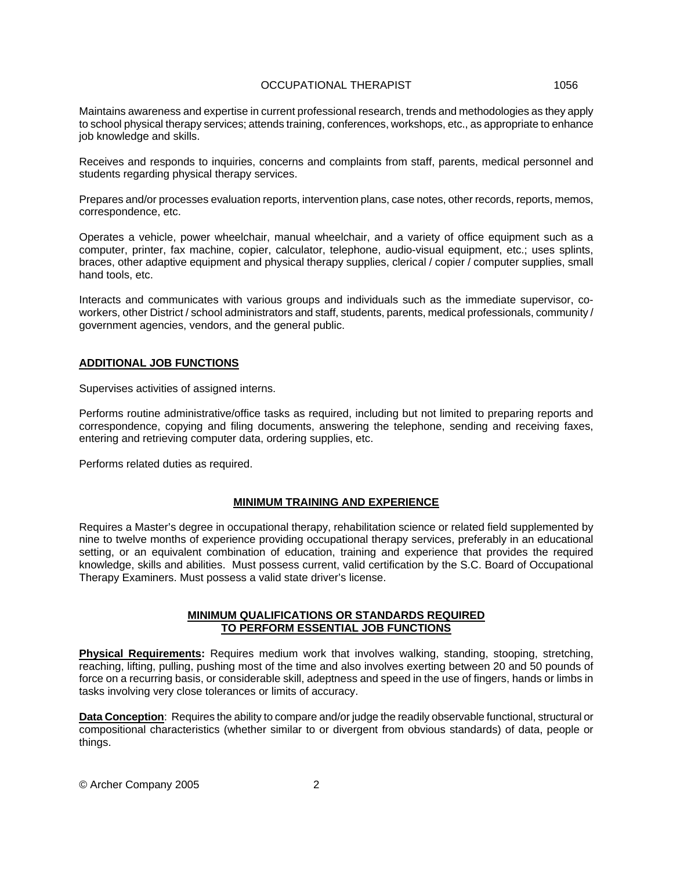#### OCCUPATIONAL THERAPIST 1056

Maintains awareness and expertise in current professional research, trends and methodologies as they apply to school physical therapy services; attends training, conferences, workshops, etc., as appropriate to enhance job knowledge and skills.

Receives and responds to inquiries, concerns and complaints from staff, parents, medical personnel and students regarding physical therapy services.

Prepares and/or processes evaluation reports, intervention plans, case notes, other records, reports, memos, correspondence, etc.

Operates a vehicle, power wheelchair, manual wheelchair, and a variety of office equipment such as a computer, printer, fax machine, copier, calculator, telephone, audio-visual equipment, etc.; uses splints, braces, other adaptive equipment and physical therapy supplies, clerical / copier / computer supplies, small hand tools, etc.

Interacts and communicates with various groups and individuals such as the immediate supervisor, coworkers, other District / school administrators and staff, students, parents, medical professionals, community / government agencies, vendors, and the general public.

### **ADDITIONAL JOB FUNCTIONS**

Supervises activities of assigned interns.

Performs routine administrative/office tasks as required, including but not limited to preparing reports and correspondence, copying and filing documents, answering the telephone, sending and receiving faxes, entering and retrieving computer data, ordering supplies, etc.

Performs related duties as required.

#### **MINIMUM TRAINING AND EXPERIENCE**

Requires a Master's degree in occupational therapy, rehabilitation science or related field supplemented by nine to twelve months of experience providing occupational therapy services, preferably in an educational setting, or an equivalent combination of education, training and experience that provides the required knowledge, skills and abilities. Must possess current, valid certification by the S.C. Board of Occupational Therapy Examiners. Must possess a valid state driver's license.

### **MINIMUM QUALIFICATIONS OR STANDARDS REQUIRED TO PERFORM ESSENTIAL JOB FUNCTIONS**

**Physical Requirements:** Requires medium work that involves walking, standing, stooping, stretching, reaching, lifting, pulling, pushing most of the time and also involves exerting between 20 and 50 pounds of force on a recurring basis, or considerable skill, adeptness and speed in the use of fingers, hands or limbs in tasks involving very close tolerances or limits of accuracy.

**Data Conception**: Requires the ability to compare and/or judge the readily observable functional, structural or compositional characteristics (whether similar to or divergent from obvious standards) of data, people or things.

© Archer Company 2005 2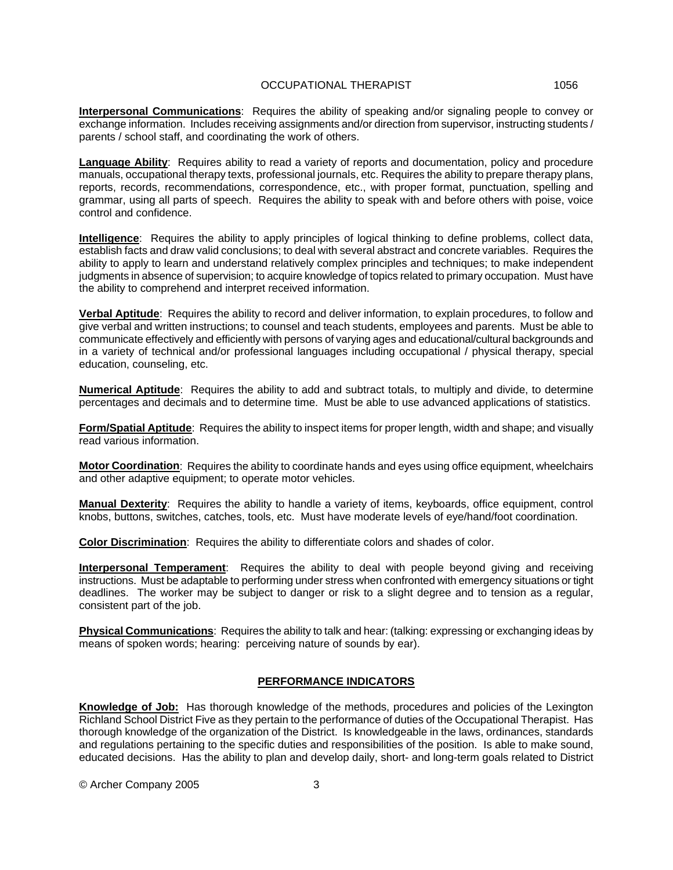**Interpersonal Communications**: Requires the ability of speaking and/or signaling people to convey or exchange information. Includes receiving assignments and/or direction from supervisor, instructing students / parents / school staff, and coordinating the work of others.

**Language Ability**: Requires ability to read a variety of reports and documentation, policy and procedure manuals, occupational therapy texts, professional journals, etc. Requires the ability to prepare therapy plans, reports, records, recommendations, correspondence, etc., with proper format, punctuation, spelling and grammar, using all parts of speech. Requires the ability to speak with and before others with poise, voice control and confidence.

**Intelligence**: Requires the ability to apply principles of logical thinking to define problems, collect data, establish facts and draw valid conclusions; to deal with several abstract and concrete variables. Requires the ability to apply to learn and understand relatively complex principles and techniques; to make independent judgments in absence of supervision; to acquire knowledge of topics related to primary occupation. Must have the ability to comprehend and interpret received information.

**Verbal Aptitude**: Requires the ability to record and deliver information, to explain procedures, to follow and give verbal and written instructions; to counsel and teach students, employees and parents. Must be able to communicate effectively and efficiently with persons of varying ages and educational/cultural backgrounds and in a variety of technical and/or professional languages including occupational / physical therapy, special education, counseling, etc.

**Numerical Aptitude**: Requires the ability to add and subtract totals, to multiply and divide, to determine percentages and decimals and to determine time. Must be able to use advanced applications of statistics.

**Form/Spatial Aptitude**: Requires the ability to inspect items for proper length, width and shape; and visually read various information.

**Motor Coordination**: Requires the ability to coordinate hands and eyes using office equipment, wheelchairs and other adaptive equipment; to operate motor vehicles.

**Manual Dexterity**: Requires the ability to handle a variety of items, keyboards, office equipment, control knobs, buttons, switches, catches, tools, etc. Must have moderate levels of eye/hand/foot coordination.

**Color Discrimination**: Requires the ability to differentiate colors and shades of color.

**Interpersonal Temperament**: Requires the ability to deal with people beyond giving and receiving instructions. Must be adaptable to performing under stress when confronted with emergency situations or tight deadlines. The worker may be subject to danger or risk to a slight degree and to tension as a regular, consistent part of the job.

**Physical Communications**: Requires the ability to talk and hear: (talking: expressing or exchanging ideas by means of spoken words; hearing: perceiving nature of sounds by ear).

## **PERFORMANCE INDICATORS**

**Knowledge of Job:** Has thorough knowledge of the methods, procedures and policies of the Lexington Richland School District Five as they pertain to the performance of duties of the Occupational Therapist. Has thorough knowledge of the organization of the District. Is knowledgeable in the laws, ordinances, standards and regulations pertaining to the specific duties and responsibilities of the position. Is able to make sound, educated decisions. Has the ability to plan and develop daily, short- and long-term goals related to District

© Archer Company 2005 3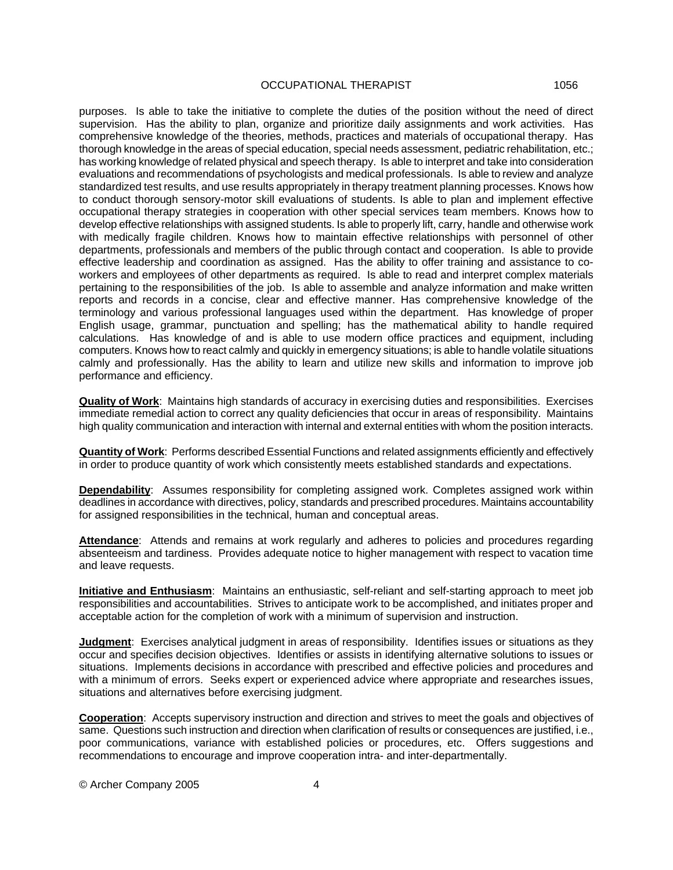## OCCUPATIONAL THERAPIST 1056

purposes. Is able to take the initiative to complete the duties of the position without the need of direct supervision. Has the ability to plan, organize and prioritize daily assignments and work activities. Has comprehensive knowledge of the theories, methods, practices and materials of occupational therapy. Has thorough knowledge in the areas of special education, special needs assessment, pediatric rehabilitation, etc.; has working knowledge of related physical and speech therapy. Is able to interpret and take into consideration evaluations and recommendations of psychologists and medical professionals. Is able to review and analyze standardized test results, and use results appropriately in therapy treatment planning processes. Knows how to conduct thorough sensory-motor skill evaluations of students. Is able to plan and implement effective occupational therapy strategies in cooperation with other special services team members. Knows how to develop effective relationships with assigned students. Is able to properly lift, carry, handle and otherwise work with medically fragile children. Knows how to maintain effective relationships with personnel of other departments, professionals and members of the public through contact and cooperation. Is able to provide effective leadership and coordination as assigned. Has the ability to offer training and assistance to coworkers and employees of other departments as required. Is able to read and interpret complex materials pertaining to the responsibilities of the job. Is able to assemble and analyze information and make written reports and records in a concise, clear and effective manner. Has comprehensive knowledge of the terminology and various professional languages used within the department. Has knowledge of proper English usage, grammar, punctuation and spelling; has the mathematical ability to handle required calculations. Has knowledge of and is able to use modern office practices and equipment, including computers. Knows how to react calmly and quickly in emergency situations; is able to handle volatile situations calmly and professionally. Has the ability to learn and utilize new skills and information to improve job performance and efficiency.

**Quality of Work**: Maintains high standards of accuracy in exercising duties and responsibilities. Exercises immediate remedial action to correct any quality deficiencies that occur in areas of responsibility. Maintains high quality communication and interaction with internal and external entities with whom the position interacts.

**Quantity of Work**: Performs described Essential Functions and related assignments efficiently and effectively in order to produce quantity of work which consistently meets established standards and expectations.

**Dependability**: Assumes responsibility for completing assigned work. Completes assigned work within deadlines in accordance with directives, policy, standards and prescribed procedures. Maintains accountability for assigned responsibilities in the technical, human and conceptual areas.

Attendance: Attends and remains at work regularly and adheres to policies and procedures regarding absenteeism and tardiness. Provides adequate notice to higher management with respect to vacation time and leave requests.

**Initiative and Enthusiasm**: Maintains an enthusiastic, self-reliant and self-starting approach to meet job responsibilities and accountabilities. Strives to anticipate work to be accomplished, and initiates proper and acceptable action for the completion of work with a minimum of supervision and instruction.

**Judgment**: Exercises analytical judgment in areas of responsibility. Identifies issues or situations as they occur and specifies decision objectives. Identifies or assists in identifying alternative solutions to issues or situations. Implements decisions in accordance with prescribed and effective policies and procedures and with a minimum of errors. Seeks expert or experienced advice where appropriate and researches issues, situations and alternatives before exercising judgment.

**Cooperation**: Accepts supervisory instruction and direction and strives to meet the goals and objectives of same. Questions such instruction and direction when clarification of results or consequences are justified, i.e., poor communications, variance with established policies or procedures, etc. Offers suggestions and recommendations to encourage and improve cooperation intra- and inter-departmentally.

© Archer Company 2005 4